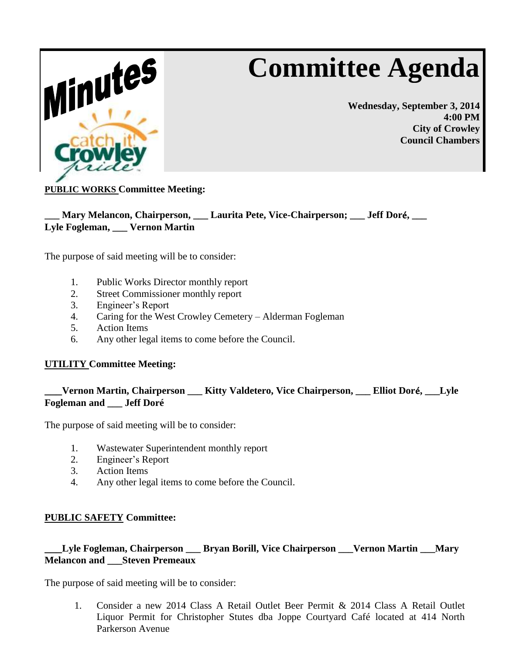# **Committee Agenda**



**Wednesday, September 3, 2014 4:00 PM City of Crowley Council Chambers**

# **PUBLIC WORKS Committee Meeting:**

# **\_\_\_ Mary Melancon, Chairperson, \_\_\_ Laurita Pete, Vice-Chairperson; \_\_\_ Jeff Dor**é**, \_\_\_ Lyle Fogleman, \_\_\_ Vernon Martin**

The purpose of said meeting will be to consider:

- 1. Public Works Director monthly report
- 2. Street Commissioner monthly report
- 3. Engineer's Report
- 4. Caring for the West Crowley Cemetery Alderman Fogleman
- 5. Action Items
- 6. Any other legal items to come before the Council.

#### **UTILITY Committee Meeting:**

# **\_\_\_Vernon Martin, Chairperson \_\_\_ Kitty Valdetero, Vice Chairperson, \_\_\_ Elliot Dor**é**, \_\_\_Lyle Fogleman and \_\_\_ Jeff Doré**

The purpose of said meeting will be to consider:

- 1. Wastewater Superintendent monthly report
- 2. Engineer's Report
- 3. Action Items
- 4. Any other legal items to come before the Council.

#### **PUBLIC SAFETY Committee:**

#### **\_\_\_Lyle Fogleman, Chairperson \_\_\_ Bryan Borill, Vice Chairperson \_\_\_Vernon Martin \_\_\_Mary Melancon and \_\_\_Steven Premeaux**

The purpose of said meeting will be to consider:

1. Consider a new 2014 Class A Retail Outlet Beer Permit & 2014 Class A Retail Outlet Liquor Permit for Christopher Stutes dba Joppe Courtyard Café located at 414 North Parkerson Avenue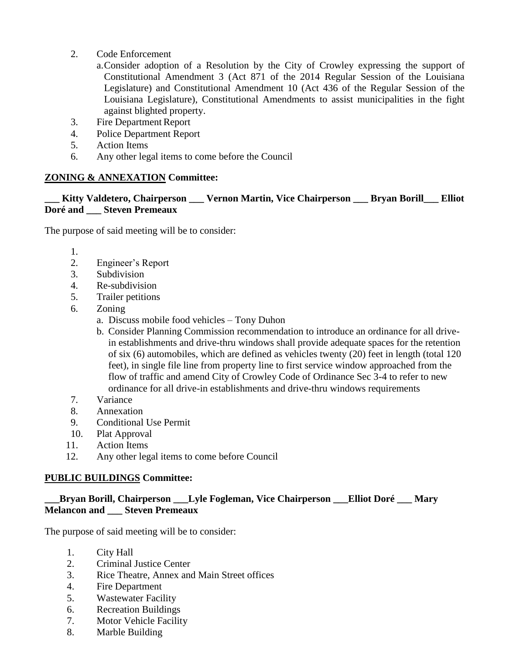2. Code Enforcement

a.Consider adoption of a Resolution by the City of Crowley expressing the support of Constitutional Amendment 3 (Act 871 of the 2014 Regular Session of the Louisiana Legislature) and Constitutional Amendment 10 (Act 436 of the Regular Session of the Louisiana Legislature), Constitutional Amendments to assist municipalities in the fight against blighted property.

- 3. Fire Department Report
- 4. Police Department Report
- 5. Action Items
- 6. Any other legal items to come before the Council

#### **ZONING & ANNEXATION Committee:**

#### **\_\_\_ Kitty Valdetero, Chairperson \_\_\_ Vernon Martin, Vice Chairperson \_\_\_ Bryan Borill\_\_\_ Elliot Doré and \_\_\_ Steven Premeaux**

The purpose of said meeting will be to consider:

1.

- 2. Engineer's Report
- 3. Subdivision
- 4. Re-subdivision
- 5. Trailer petitions
- 6. Zoning
	- a. Discuss mobile food vehicles Tony Duhon
	- b. Consider Planning Commission recommendation to introduce an ordinance for all drivein establishments and drive-thru windows shall provide adequate spaces for the retention of six (6) automobiles, which are defined as vehicles twenty (20) feet in length (total 120 feet), in single file line from property line to first service window approached from the flow of traffic and amend City of Crowley Code of Ordinance Sec 3-4 to refer to new ordinance for all drive-in establishments and drive-thru windows requirements
- 7. Variance
- 8. Annexation
- 9. Conditional Use Permit
- 10. Plat Approval
- 11. Action Items
- 12. Any other legal items to come before Council

#### **PUBLIC BUILDINGS Committee:**

# **\_\_\_Bryan Borill, Chairperson \_\_\_Lyle Fogleman, Vice Chairperson \_\_\_Elliot Doré \_\_\_ Mary Melancon and \_\_\_ Steven Premeaux**

The purpose of said meeting will be to consider:

- 1. City Hall
- 2. Criminal Justice Center
- 3. Rice Theatre, Annex and Main Street offices
- 4. Fire Department
- 5. Wastewater Facility
- 6. Recreation Buildings
- 7. Motor Vehicle Facility
- 8. Marble Building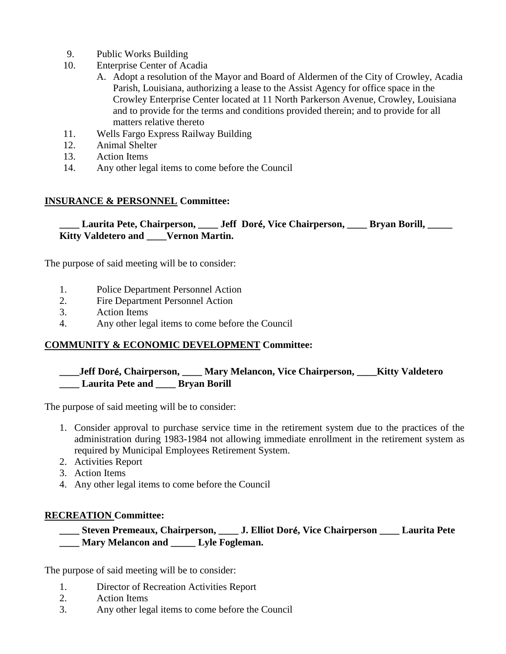- 9. Public Works Building
- 10. Enterprise Center of Acadia
	- A. Adopt a resolution of the Mayor and Board of Aldermen of the City of Crowley, Acadia Parish, Louisiana, authorizing a lease to the Assist Agency for office space in the Crowley Enterprise Center located at 11 North Parkerson Avenue, Crowley, Louisiana and to provide for the terms and conditions provided therein; and to provide for all matters relative thereto
- 11. Wells Fargo Express Railway Building
- 12. Animal Shelter
- 13. Action Items
- 14. Any other legal items to come before the Council

#### **INSURANCE & PERSONNEL Committee:**

**\_\_\_\_ Laurita Pete, Chairperson, \_\_\_\_ Jeff Dor**é**, Vice Chairperson, \_\_\_\_ Bryan Borill, \_\_\_\_\_ Kitty Valdetero and \_\_\_\_Vernon Martin.**

The purpose of said meeting will be to consider:

- 1. Police Department Personnel Action
- 2. Fire Department Personnel Action
- 3. Action Items
- 4. Any other legal items to come before the Council

#### **COMMUNITY & ECONOMIC DEVELOPMENT Committee:**

# **\_\_\_\_Jeff Dor**é**, Chairperson, \_\_\_\_ Mary Melancon, Vice Chairperson, \_\_\_\_Kitty Valdetero \_\_\_\_ Laurita Pete and \_\_\_\_ Bryan Borill**

The purpose of said meeting will be to consider:

- 1. Consider approval to purchase service time in the retirement system due to the practices of the administration during 1983-1984 not allowing immediate enrollment in the retirement system as required by Municipal Employees Retirement System.
- 2. Activities Report
- 3. Action Items
- 4. Any other legal items to come before the Council

#### **RECREATION Committee:**

# **\_\_\_\_ Steven Premeaux, Chairperson, \_\_\_\_ J. Elliot Dor**é**, Vice Chairperson \_\_\_\_ Laurita Pete \_\_\_\_ Mary Melancon and \_\_\_\_\_ Lyle Fogleman.**

The purpose of said meeting will be to consider:

- 1. Director of Recreation Activities Report
- 2. Action Items
- 3. Any other legal items to come before the Council